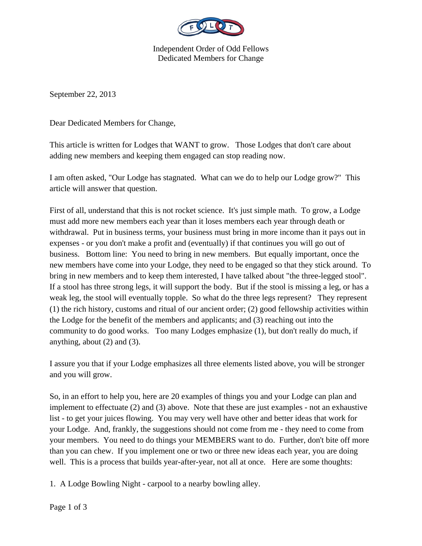

Independent Order of Odd Fellows Dedicated Members for Change

September 22, 2013

Dear Dedicated Members for Change,

This article is written for Lodges that WANT to grow. Those Lodges that don't care about adding new members and keeping them engaged can stop reading now.

I am often asked, "Our Lodge has stagnated. What can we do to help our Lodge grow?" This article will answer that question.

First of all, understand that this is not rocket science. It's just simple math. To grow, a Lodge must add more new members each year than it loses members each year through death or withdrawal. Put in business terms, your business must bring in more income than it pays out in expenses - or you don't make a profit and (eventually) if that continues you will go out of business. Bottom line: You need to bring in new members. But equally important, once the new members have come into your Lodge, they need to be engaged so that they stick around. To bring in new members and to keep them interested, I have talked about "the three-legged stool". If a stool has three strong legs, it will support the body. But if the stool is missing a leg, or has a weak leg, the stool will eventually topple. So what do the three legs represent? They represent (1) the rich history, customs and ritual of our ancient order; (2) good fellowship activities within the Lodge for the benefit of the members and applicants; and (3) reaching out into the community to do good works. Too many Lodges emphasize (1), but don't really do much, if anything, about (2) and (3).

I assure you that if your Lodge emphasizes all three elements listed above, you will be stronger and you will grow.

So, in an effort to help you, here are 20 examples of things you and your Lodge can plan and implement to effectuate (2) and (3) above. Note that these are just examples - not an exhaustive list - to get your juices flowing. You may very well have other and better ideas that work for your Lodge. And, frankly, the suggestions should not come from me - they need to come from your members. You need to do things your MEMBERS want to do. Further, don't bite off more than you can chew. If you implement one or two or three new ideas each year, you are doing well. This is a process that builds year-after-year, not all at once. Here are some thoughts:

1. A Lodge Bowling Night - carpool to a nearby bowling alley.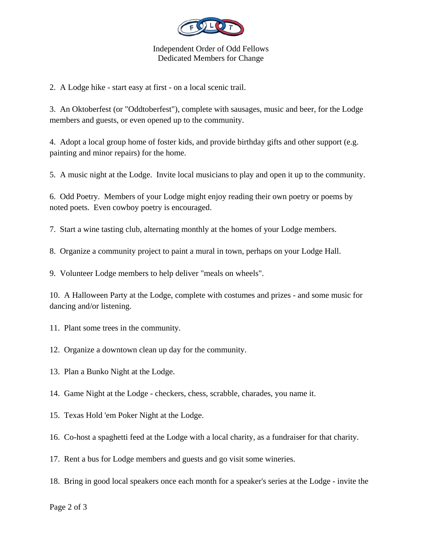

## Independent Order of Odd Fellows Dedicated Members for Change

2. A Lodge hike - start easy at first - on a local scenic trail.

3. An Oktoberfest (or "Oddtoberfest"), complete with sausages, music and beer, for the Lodge members and guests, or even opened up to the community.

4. Adopt a local group home of foster kids, and provide birthday gifts and other support (e.g. painting and minor repairs) for the home.

5. A music night at the Lodge. Invite local musicians to play and open it up to the community.

6. Odd Poetry. Members of your Lodge might enjoy reading their own poetry or poems by noted poets. Even cowboy poetry is encouraged.

7. Start a wine tasting club, alternating monthly at the homes of your Lodge members.

8. Organize a community project to paint a mural in town, perhaps on your Lodge Hall.

9. Volunteer Lodge members to help deliver "meals on wheels".

10. A Halloween Party at the Lodge, complete with costumes and prizes - and some music for dancing and/or listening.

- 11. Plant some trees in the community.
- 12. Organize a downtown clean up day for the community.
- 13. Plan a Bunko Night at the Lodge.
- 14. Game Night at the Lodge checkers, chess, scrabble, charades, you name it.
- 15. Texas Hold 'em Poker Night at the Lodge.
- 16. Co-host a spaghetti feed at the Lodge with a local charity, as a fundraiser for that charity.
- 17. Rent a bus for Lodge members and guests and go visit some wineries.
- 18. Bring in good local speakers once each month for a speaker's series at the Lodge invite the